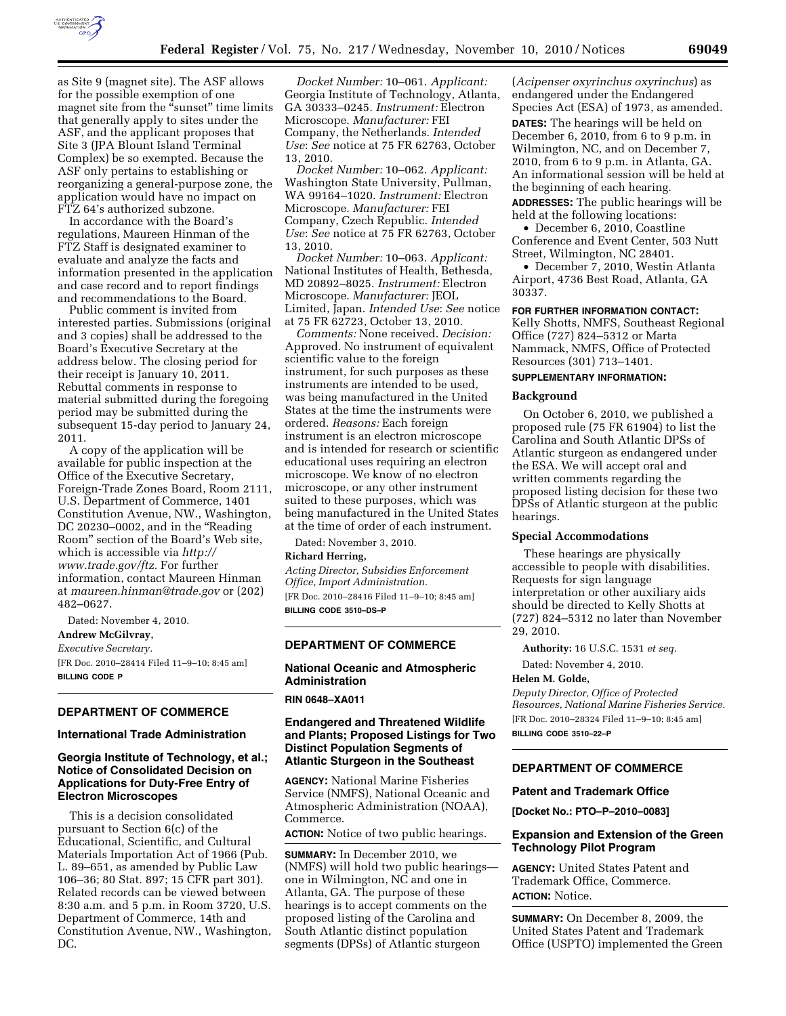

as Site 9 (magnet site). The ASF allows for the possible exemption of one magnet site from the "sunset" time limits that generally apply to sites under the ASF, and the applicant proposes that Site 3 (JPA Blount Island Terminal Complex) be so exempted. Because the ASF only pertains to establishing or reorganizing a general-purpose zone, the application would have no impact on FTZ 64's authorized subzone.

In accordance with the Board's regulations, Maureen Hinman of the FTZ Staff is designated examiner to evaluate and analyze the facts and information presented in the application and case record and to report findings and recommendations to the Board.

Public comment is invited from interested parties. Submissions (original and 3 copies) shall be addressed to the Board's Executive Secretary at the address below. The closing period for their receipt is January 10, 2011. Rebuttal comments in response to material submitted during the foregoing period may be submitted during the subsequent 15-day period to January 24, 2011.

A copy of the application will be available for public inspection at the Office of the Executive Secretary, Foreign-Trade Zones Board, Room 2111, U.S. Department of Commerce, 1401 Constitution Avenue, NW., Washington, DC 20230–0002, and in the ''Reading Room'' section of the Board's Web site, which is accessible via *[http://](http://www.trade.gov/ftz) [www.trade.gov/ftz.](http://www.trade.gov/ftz)* For further information, contact Maureen Hinman at *[maureen.hinman@trade.gov](mailto:maureen.hinman@trade.gov)* or (202) 482–0627.

Dated: November 4, 2010.

## **Andrew McGilvray,**

*Executive Secretary.* 

[FR Doc. 2010–28414 Filed 11–9–10; 8:45 am] **BILLING CODE P** 

## **DEPARTMENT OF COMMERCE**

#### **International Trade Administration**

## **Georgia Institute of Technology, et al.; Notice of Consolidated Decision on Applications for Duty-Free Entry of Electron Microscopes**

This is a decision consolidated pursuant to Section 6(c) of the Educational, Scientific, and Cultural Materials Importation Act of 1966 (Pub. L. 89–651, as amended by Public Law 106–36; 80 Stat. 897; 15 CFR part 301). Related records can be viewed between 8:30 a.m. and 5 p.m. in Room 3720, U.S. Department of Commerce, 14th and Constitution Avenue, NW., Washington, DC.

*Docket Number:* 10–061. *Applicant:*  Georgia Institute of Technology, Atlanta, GA 30333–0245. *Instrument:* Electron Microscope. *Manufacturer:* FEI Company, the Netherlands. *Intended Use*: *See* notice at 75 FR 62763, October 13, 2010.

*Docket Number:* 10–062. *Applicant:*  Washington State University, Pullman, WA 99164–1020. *Instrument:* Electron Microscope. *Manufacturer:* FEI Company, Czech Republic. *Intended Use*: *See* notice at 75 FR 62763, October 13, 2010.

*Docket Number:* 10–063. *Applicant:*  National Institutes of Health, Bethesda, MD 20892–8025. *Instrument:* Electron Microscope. *Manufacturer:* JEOL Limited, Japan. *Intended Use*: *See* notice at 75 FR 62723, October 13, 2010.

*Comments:* None received. *Decision:*  Approved. No instrument of equivalent scientific value to the foreign instrument, for such purposes as these instruments are intended to be used, was being manufactured in the United States at the time the instruments were ordered. *Reasons:* Each foreign instrument is an electron microscope and is intended for research or scientific educational uses requiring an electron microscope. We know of no electron microscope, or any other instrument suited to these purposes, which was being manufactured in the United States at the time of order of each instrument.

Dated: November 3, 2010.

## **Richard Herring,**

*Acting Director, Subsidies Enforcement Office, Import Administration.*  [FR Doc. 2010–28416 Filed 11–9–10; 8:45 am] **BILLING CODE 3510–DS–P** 

#### **DEPARTMENT OF COMMERCE**

## **National Oceanic and Atmospheric Administration**

## **RIN 0648–XA011**

## **Endangered and Threatened Wildlife and Plants; Proposed Listings for Two Distinct Population Segments of Atlantic Sturgeon in the Southeast**

**AGENCY:** National Marine Fisheries Service (NMFS), National Oceanic and Atmospheric Administration (NOAA), Commerce.

**ACTION:** Notice of two public hearings.

**SUMMARY:** In December 2010, we (NMFS) will hold two public hearings one in Wilmington, NC and one in Atlanta, GA. The purpose of these hearings is to accept comments on the proposed listing of the Carolina and South Atlantic distinct population segments (DPSs) of Atlantic sturgeon

(*Acipenser oxyrinchus oxyrinchus*) as endangered under the Endangered Species Act (ESA) of 1973, as amended.

**DATES:** The hearings will be held on December 6, 2010, from 6 to 9 p.m. in Wilmington, NC, and on December 7, 2010, from 6 to 9 p.m. in Atlanta, GA. An informational session will be held at the beginning of each hearing.

**ADDRESSES:** The public hearings will be held at the following locations:

• December 6, 2010, Coastline Conference and Event Center, 503 Nutt Street, Wilmington, NC 28401.

• December 7, 2010, Westin Atlanta Airport, 4736 Best Road, Atlanta, GA 30337.

#### **FOR FURTHER INFORMATION CONTACT:**

Kelly Shotts, NMFS, Southeast Regional Office (727) 824–5312 or Marta Nammack, NMFS, Office of Protected Resources (301) 713–1401.

#### **SUPPLEMENTARY INFORMATION:**

#### **Background**

On October 6, 2010, we published a proposed rule (75 FR 61904) to list the Carolina and South Atlantic DPSs of Atlantic sturgeon as endangered under the ESA. We will accept oral and written comments regarding the proposed listing decision for these two DPSs of Atlantic sturgeon at the public hearings.

#### **Special Accommodations**

These hearings are physically accessible to people with disabilities. Requests for sign language interpretation or other auxiliary aids should be directed to Kelly Shotts at (727) 824–5312 no later than November 29, 2010.

**Authority:** 16 U.S.C. 1531 *et seq.* 

Dated: November 4, 2010.

## **Helen M. Golde,**

*Deputy Director, Office of Protected Resources, National Marine Fisheries Service.*  [FR Doc. 2010–28324 Filed 11–9–10; 8:45 am] **BILLING CODE 3510–22–P** 

# **DEPARTMENT OF COMMERCE**

## **Patent and Trademark Office**

**[Docket No.: PTO–P–2010–0083]** 

#### **Expansion and Extension of the Green Technology Pilot Program**

**AGENCY:** United States Patent and Trademark Office, Commerce. **ACTION:** Notice.

**SUMMARY:** On December 8, 2009, the United States Patent and Trademark Office (USPTO) implemented the Green